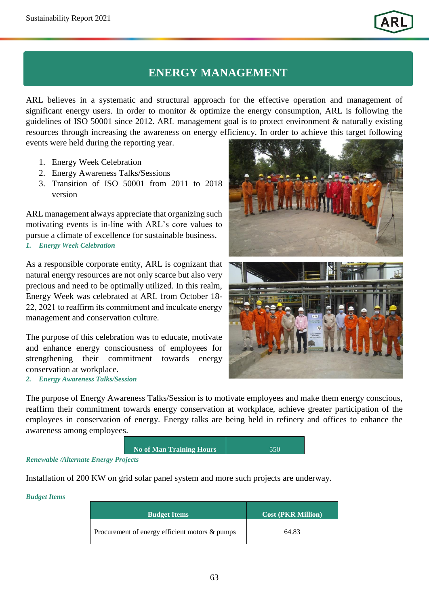## **ENERGY MANAGEMENT**

ARL believes in a systematic and structural approach for the effective operation and management of significant energy users. In order to monitor & optimize the energy consumption, ARL is following the guidelines of ISO 50001 since 2012. ARL management goal is to protect environment & naturally existing resources through increasing the awareness on energy efficiency. In order to achieve this target following

events were held during the reporting year.

- 1. Energy Week Celebration
- 2. Energy Awareness Talks/Sessions
- 3. Transition of ISO 50001 from 2011 to 2018 version

ARL management always appreciate that organizing such motivating events is in-line with ARL's core values to pursue a climate of excellence for sustainable business. *1. Energy Week Celebration* 

As a responsible corporate entity, ARL is cognizant that natural energy resources are not only scarce but also very precious and need to be optimally utilized. In this realm, Energy Week was celebrated at ARL from October 18- 22, 2021 to reaffirm its commitment and inculcate energy management and conservation culture.

The purpose of this celebration was to educate, motivate and enhance energy consciousness of employees for strengthening their commitment towards energy conservation at workplace.

*2. Energy Awareness Talks/Session* 



The purpose of Energy Awareness Talks/Session is to motivate employees and make them energy conscious, reaffirm their commitment towards energy conservation at workplace, achieve greater participation of the employees in conservation of energy. Energy talks are being held in refinery and offices to enhance the awareness among employees.

| <b>No of Man Training Hours</b> | 550 |
|---------------------------------|-----|
| $a$ oto                         |     |

*Renewable /Alternate Energy Projects* 

Installation of 200 KW on grid solar panel system and more such projects are underway.

*Budget Items*

| <b>Budget Items</b>                            | Cost (PKR Million) |
|------------------------------------------------|--------------------|
| Procurement of energy efficient motors & pumps | 64.83              |